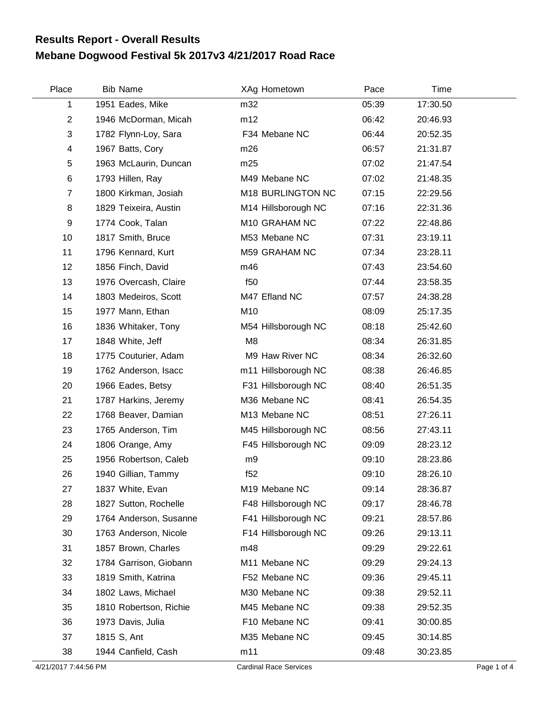## **Mebane Dogwood Festival 5k 2017v3 4/21/2017 Road Race Results Report - Overall Results**

| Place          | <b>Bib Name</b>        | XAg Hometown        | Pace  | Time     |
|----------------|------------------------|---------------------|-------|----------|
| 1              | 1951 Eades, Mike       | m32                 | 05:39 | 17:30.50 |
| $\overline{2}$ | 1946 McDorman, Micah   | m12                 | 06:42 | 20:46.93 |
| 3              | 1782 Flynn-Loy, Sara   | F34 Mebane NC       | 06:44 | 20:52.35 |
| 4              | 1967 Batts, Cory       | m26                 | 06:57 | 21:31.87 |
| 5              | 1963 McLaurin, Duncan  | m25                 | 07:02 | 21:47.54 |
| 6              | 1793 Hillen, Ray       | M49 Mebane NC       | 07:02 | 21:48.35 |
| $\overline{7}$ | 1800 Kirkman, Josiah   | M18 BURLINGTON NC   | 07:15 | 22:29.56 |
| 8              | 1829 Teixeira, Austin  | M14 Hillsborough NC | 07:16 | 22:31.36 |
| 9              | 1774 Cook, Talan       | M10 GRAHAM NC       | 07:22 | 22:48.86 |
| 10             | 1817 Smith, Bruce      | M53 Mebane NC       | 07:31 | 23:19.11 |
| 11             | 1796 Kennard, Kurt     | M59 GRAHAM NC       | 07:34 | 23:28.11 |
| 12             | 1856 Finch, David      | m46                 | 07:43 | 23:54.60 |
| 13             | 1976 Overcash, Claire  | f <sub>50</sub>     | 07:44 | 23:58.35 |
| 14             | 1803 Medeiros, Scott   | M47 Efland NC       | 07:57 | 24:38.28 |
| 15             | 1977 Mann, Ethan       | M10                 | 08:09 | 25:17.35 |
| 16             | 1836 Whitaker, Tony    | M54 Hillsborough NC | 08:18 | 25:42.60 |
| 17             | 1848 White, Jeff       | M <sub>8</sub>      | 08:34 | 26:31.85 |
| 18             | 1775 Couturier, Adam   | M9 Haw River NC     | 08:34 | 26:32.60 |
| 19             | 1762 Anderson, Isacc   | m11 Hillsborough NC | 08:38 | 26:46.85 |
| 20             | 1966 Eades, Betsy      | F31 Hillsborough NC | 08:40 | 26:51.35 |
| 21             | 1787 Harkins, Jeremy   | M36 Mebane NC       | 08:41 | 26:54.35 |
| 22             | 1768 Beaver, Damian    | M13 Mebane NC       | 08:51 | 27:26.11 |
| 23             | 1765 Anderson, Tim     | M45 Hillsborough NC | 08:56 | 27:43.11 |
| 24             | 1806 Orange, Amy       | F45 Hillsborough NC | 09:09 | 28:23.12 |
| 25             | 1956 Robertson, Caleb  | m9                  | 09:10 | 28:23.86 |
| 26             | 1940 Gillian, Tammy    | f52                 | 09:10 | 28:26.10 |
| 27             | 1837 White, Evan       | M19 Mebane NC       | 09:14 | 28:36.87 |
| 28             | 1827 Sutton, Rochelle  | F48 Hillsborough NC | 09:17 | 28:46.78 |
| 29             | 1764 Anderson, Susanne | F41 Hillsborough NC | 09:21 | 28:57.86 |
| 30             | 1763 Anderson, Nicole  | F14 Hillsborough NC | 09:26 | 29:13.11 |
| 31             | 1857 Brown, Charles    | m48                 | 09:29 | 29:22.61 |
| 32             | 1784 Garrison, Giobann | M11 Mebane NC       | 09:29 | 29:24.13 |
| 33             | 1819 Smith, Katrina    | F52 Mebane NC       | 09:36 | 29:45.11 |
| 34             | 1802 Laws, Michael     | M30 Mebane NC       | 09:38 | 29:52.11 |
| 35             | 1810 Robertson, Richie | M45 Mebane NC       | 09:38 | 29:52.35 |
| 36             | 1973 Davis, Julia      | F10 Mebane NC       | 09:41 | 30:00.85 |
| 37             | 1815 S, Ant            | M35 Mebane NC       | 09:45 | 30:14.85 |
| 38             | 1944 Canfield, Cash    | m11                 | 09:48 | 30:23.85 |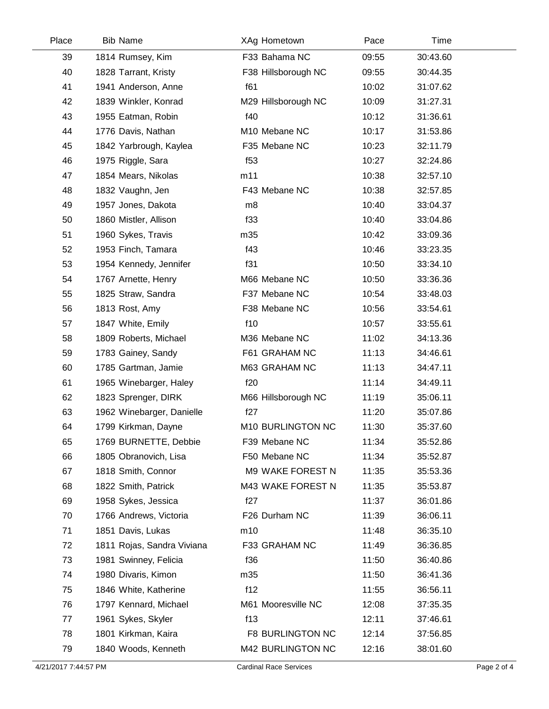| Place | <b>Bib Name</b>            | XAg Hometown            | Pace  | Time     |  |
|-------|----------------------------|-------------------------|-------|----------|--|
| 39    | 1814 Rumsey, Kim           | F33 Bahama NC           | 09:55 | 30:43.60 |  |
| 40    | 1828 Tarrant, Kristy       | F38 Hillsborough NC     | 09:55 | 30:44.35 |  |
| 41    | 1941 Anderson, Anne        | f61                     | 10:02 | 31:07.62 |  |
| 42    | 1839 Winkler, Konrad       | M29 Hillsborough NC     | 10:09 | 31:27.31 |  |
| 43    | 1955 Eatman, Robin         | f40                     | 10:12 | 31:36.61 |  |
| 44    | 1776 Davis, Nathan         | M10 Mebane NC           | 10:17 | 31:53.86 |  |
| 45    | 1842 Yarbrough, Kaylea     | F35 Mebane NC           | 10:23 | 32:11.79 |  |
| 46    | 1975 Riggle, Sara          | f53                     | 10:27 | 32:24.86 |  |
| 47    | 1854 Mears, Nikolas        | m11                     | 10:38 | 32:57.10 |  |
| 48    | 1832 Vaughn, Jen           | F43 Mebane NC           | 10:38 | 32:57.85 |  |
| 49    | 1957 Jones, Dakota         | m8                      | 10:40 | 33:04.37 |  |
| 50    | 1860 Mistler, Allison      | f33                     | 10:40 | 33:04.86 |  |
| 51    | 1960 Sykes, Travis         | m35                     | 10:42 | 33:09.36 |  |
| 52    | 1953 Finch, Tamara         | f43                     | 10:46 | 33:23.35 |  |
| 53    | 1954 Kennedy, Jennifer     | f31                     | 10:50 | 33:34.10 |  |
| 54    | 1767 Arnette, Henry        | M66 Mebane NC           | 10:50 | 33:36.36 |  |
| 55    | 1825 Straw, Sandra         | F37 Mebane NC           | 10:54 | 33:48.03 |  |
| 56    | 1813 Rost, Amy             | F38 Mebane NC           | 10:56 | 33:54.61 |  |
| 57    | 1847 White, Emily          | f10                     | 10:57 | 33:55.61 |  |
| 58    | 1809 Roberts, Michael      | M36 Mebane NC           | 11:02 | 34:13.36 |  |
| 59    | 1783 Gainey, Sandy         | F61 GRAHAM NC           | 11:13 | 34:46.61 |  |
| 60    | 1785 Gartman, Jamie        | M63 GRAHAM NC           | 11:13 | 34:47.11 |  |
| 61    | 1965 Winebarger, Haley     | f20                     | 11:14 | 34:49.11 |  |
| 62    | 1823 Sprenger, DIRK        | M66 Hillsborough NC     | 11:19 | 35:06.11 |  |
| 63    | 1962 Winebarger, Danielle  | f27                     | 11:20 | 35:07.86 |  |
| 64    | 1799 Kirkman, Dayne        | M10 BURLINGTON NC       | 11:30 | 35:37.60 |  |
| 65    | 1769 BURNETTE, Debbie      | F39 Mebane NC           | 11:34 | 35:52.86 |  |
| 66    | 1805 Obranovich, Lisa      | F50 Mebane NC           | 11:34 | 35:52.87 |  |
| 67    | 1818 Smith, Connor         | M9 WAKE FOREST N        | 11:35 | 35:53.36 |  |
| 68    | 1822 Smith, Patrick        | M43 WAKE FOREST N       | 11:35 | 35:53.87 |  |
| 69    | 1958 Sykes, Jessica        | f27                     | 11:37 | 36:01.86 |  |
| 70    | 1766 Andrews, Victoria     | F26 Durham NC           | 11:39 | 36:06.11 |  |
| 71    | 1851 Davis, Lukas          | m10                     | 11:48 | 36:35.10 |  |
| 72    | 1811 Rojas, Sandra Viviana | F33 GRAHAM NC           | 11:49 | 36:36.85 |  |
| 73    | 1981 Swinney, Felicia      | f36                     | 11:50 | 36:40.86 |  |
| 74    | 1980 Divaris, Kimon        | m35                     | 11:50 | 36:41.36 |  |
| 75    | 1846 White, Katherine      | f12                     | 11:55 | 36:56.11 |  |
| 76    | 1797 Kennard, Michael      | M61 Mooresville NC      | 12:08 | 37:35.35 |  |
| 77    | 1961 Sykes, Skyler         | f13                     | 12:11 | 37:46.61 |  |
| 78    | 1801 Kirkman, Kaira        | <b>F8 BURLINGTON NC</b> | 12:14 | 37:56.85 |  |
| 79    | 1840 Woods, Kenneth        | M42 BURLINGTON NC       | 12:16 | 38:01.60 |  |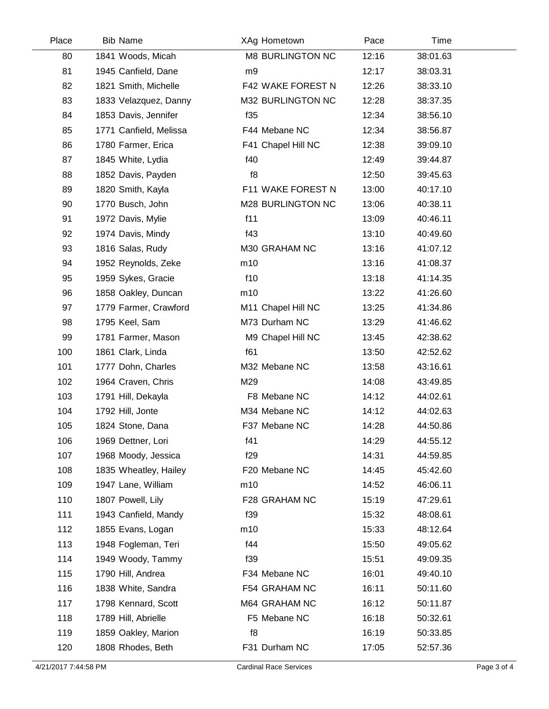| Place | <b>Bib Name</b>        | XAg Hometown       | Pace  | Time     |  |
|-------|------------------------|--------------------|-------|----------|--|
| 80    | 1841 Woods, Micah      | M8 BURLINGTON NC   | 12:16 | 38:01.63 |  |
| 81    | 1945 Canfield, Dane    | m9                 | 12:17 | 38:03.31 |  |
| 82    | 1821 Smith, Michelle   | F42 WAKE FOREST N  | 12:26 | 38:33.10 |  |
| 83    | 1833 Velazquez, Danny  | M32 BURLINGTON NC  | 12:28 | 38:37.35 |  |
| 84    | 1853 Davis, Jennifer   | f35                | 12:34 | 38:56.10 |  |
| 85    | 1771 Canfield, Melissa | F44 Mebane NC      | 12:34 | 38:56.87 |  |
| 86    | 1780 Farmer, Erica     | F41 Chapel Hill NC | 12:38 | 39:09.10 |  |
| 87    | 1845 White, Lydia      | f40                | 12:49 | 39:44.87 |  |
| 88    | 1852 Davis, Payden     | f8                 | 12:50 | 39:45.63 |  |
| 89    | 1820 Smith, Kayla      | F11 WAKE FOREST N  | 13:00 | 40:17.10 |  |
| 90    | 1770 Busch, John       | M28 BURLINGTON NC  | 13:06 | 40:38.11 |  |
| 91    | 1972 Davis, Mylie      | f11                | 13:09 | 40:46.11 |  |
| 92    | 1974 Davis, Mindy      | f43                | 13:10 | 40:49.60 |  |
| 93    | 1816 Salas, Rudy       | M30 GRAHAM NC      | 13:16 | 41:07.12 |  |
| 94    | 1952 Reynolds, Zeke    | m10                | 13:16 | 41:08.37 |  |
| 95    | 1959 Sykes, Gracie     | f10                | 13:18 | 41:14.35 |  |
| 96    | 1858 Oakley, Duncan    | m10                | 13:22 | 41:26.60 |  |
| 97    | 1779 Farmer, Crawford  | M11 Chapel Hill NC | 13:25 | 41:34.86 |  |
| 98    | 1795 Keel, Sam         | M73 Durham NC      | 13:29 | 41:46.62 |  |
| 99    | 1781 Farmer, Mason     | M9 Chapel Hill NC  | 13:45 | 42:38.62 |  |
| 100   | 1861 Clark, Linda      | f61                | 13:50 | 42:52.62 |  |
| 101   | 1777 Dohn, Charles     | M32 Mebane NC      | 13:58 | 43:16.61 |  |
| 102   | 1964 Craven, Chris     | M29                | 14:08 | 43:49.85 |  |
| 103   | 1791 Hill, Dekayla     | F8 Mebane NC       | 14:12 | 44:02.61 |  |
| 104   | 1792 Hill, Jonte       | M34 Mebane NC      | 14:12 | 44:02.63 |  |
| 105   | 1824 Stone, Dana       | F37 Mebane NC      | 14:28 | 44:50.86 |  |
| 106   | 1969 Dettner, Lori     | f41                | 14:29 | 44:55.12 |  |
| 107   | 1968 Moody, Jessica    | f29                | 14:31 | 44:59.85 |  |
| 108   | 1835 Wheatley, Hailey  | F20 Mebane NC      | 14:45 | 45:42.60 |  |
| 109   | 1947 Lane, William     | m10                | 14:52 | 46:06.11 |  |
| 110   | 1807 Powell, Lily      | F28 GRAHAM NC      | 15:19 | 47:29.61 |  |
| 111   | 1943 Canfield, Mandy   | f39                | 15:32 | 48:08.61 |  |
| 112   | 1855 Evans, Logan      | m10                | 15:33 | 48:12.64 |  |
| 113   | 1948 Fogleman, Teri    | f44                | 15:50 | 49:05.62 |  |
| 114   | 1949 Woody, Tammy      | f39                | 15:51 | 49:09.35 |  |
| 115   | 1790 Hill, Andrea      | F34 Mebane NC      | 16:01 | 49:40.10 |  |
| 116   | 1838 White, Sandra     | F54 GRAHAM NC      | 16:11 | 50:11.60 |  |
| 117   | 1798 Kennard, Scott    | M64 GRAHAM NC      | 16:12 | 50:11.87 |  |
| 118   | 1789 Hill, Abrielle    | F5 Mebane NC       | 16:18 | 50:32.61 |  |
| 119   | 1859 Oakley, Marion    | f8                 | 16:19 | 50:33.85 |  |
| 120   | 1808 Rhodes, Beth      | F31 Durham NC      | 17:05 | 52:57.36 |  |